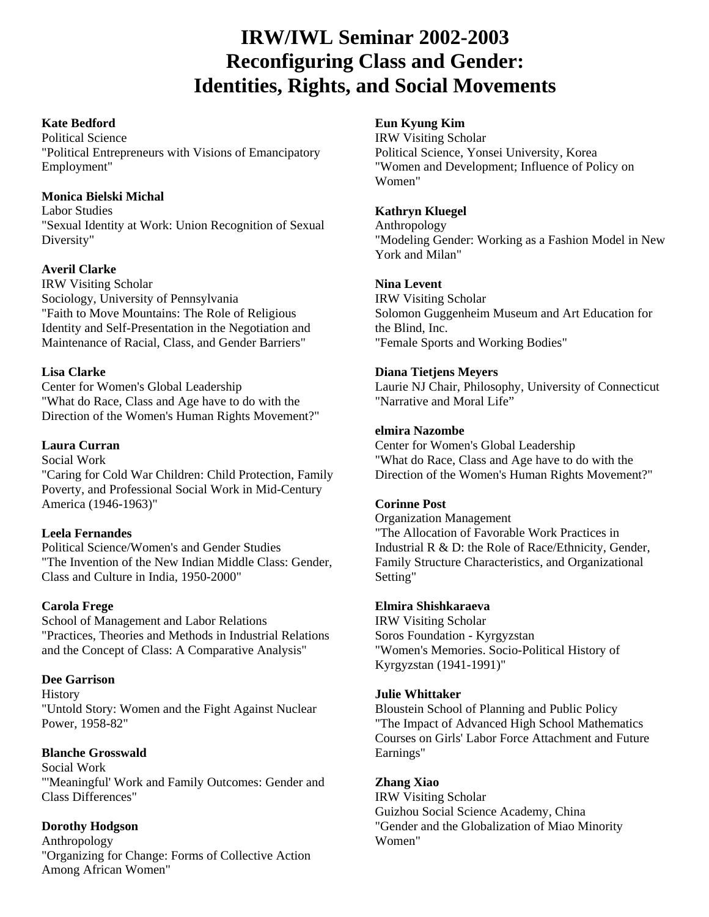# **IRW/IWL Seminar 2002-2003 Reconfiguring Class and Gender: Identities, Rights, and Social Movements**

## **Kate Bedford**

Political Science "Political Entrepreneurs with Visions of Emancipatory Employment"

# **Monica Bielski Michal**

Labor Studies "Sexual Identity at Work: Union Recognition of Sexual Diversity"

## **Averil Clarke**

IRW Visiting Scholar Sociology, University of Pennsylvania "Faith to Move Mountains: The Role of Religious Identity and Self-Presentation in the Negotiation and Maintenance of Racial, Class, and Gender Barriers"

## **Lisa Clarke**

Center for Women's Global Leadership "What do Race, Class and Age have to do with the Direction of the Women's Human Rights Movement?"

# **Laura Curran**

Social Work "Caring for Cold War Children: Child Protection, Family Poverty, and Professional Social Work in Mid-Century America (1946-1963)"

## **Leela Fernandes**

Political Science/Women's and Gender Studies "The Invention of the New Indian Middle Class: Gender, Class and Culture in India, 1950-2000"

## **Carola Frege**

School of Management and Labor Relations "Practices, Theories and Methods in Industrial Relations and the Concept of Class: A Comparative Analysis"

## **Dee Garrison**

**History** "Untold Story: Women and the Fight Against Nuclear Power, 1958-82"

# **Blanche Grosswald**

Social Work "'Meaningful' Work and Family Outcomes: Gender and Class Differences"

# **Dorothy Hodgson**

Anthropology "Organizing for Change: Forms of Collective Action Among African Women"

# **Eun Kyung Kim**

IRW Visiting Scholar Political Science, Yonsei University, Korea "Women and Development; Influence of Policy on Women"

# **Kathryn Kluegel**

Anthropology "Modeling Gender: Working as a Fashion Model in New York and Milan"

# **Nina Levent**

IRW Visiting Scholar Solomon Guggenheim Museum and Art Education for the Blind, Inc. "Female Sports and Working Bodies"

## **Diana Tietjens Meyers**

Laurie NJ Chair, Philosophy, University of Connecticut "Narrative and Moral Life"

# **elmira Nazombe**

Center for Women's Global Leadership "What do Race, Class and Age have to do with the Direction of the Women's Human Rights Movement?"

## **Corinne Post**

Organization Management "The Allocation of Favorable Work Practices in Industrial R & D: the Role of Race/Ethnicity, Gender, Family Structure Characteristics, and Organizational Setting"

## **Elmira Shishkaraeva**

IRW Visiting Scholar Soros Foundation - Kyrgyzstan "Women's Memories. Socio-Political History of Kyrgyzstan (1941-1991)"

## **Julie Whittaker**

Bloustein School of Planning and Public Policy "The Impact of Advanced High School Mathematics Courses on Girls' Labor Force Attachment and Future Earnings"

## **Zhang Xiao**

IRW Visiting Scholar Guizhou Social Science Academy, China "Gender and the Globalization of Miao Minority Women"